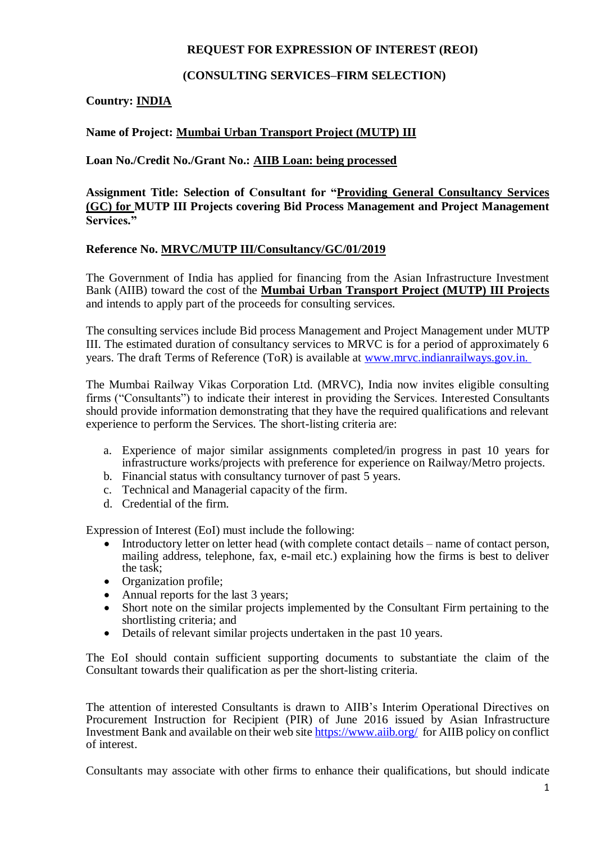### **REQUEST FOR EXPRESSION OF INTEREST (REOI)**

## **(CONSULTING SERVICES–FIRM SELECTION)**

# **Country: INDIA**

# **Name of Project: Mumbai Urban Transport Project (MUTP) III**

### **Loan No./Credit No./Grant No.: AIIB Loan: being processed**

**Assignment Title: Selection of Consultant for "Providing General Consultancy Services (GC) for MUTP III Projects covering Bid Process Management and Project Management Services."**

#### **Reference No. MRVC/MUTP III/Consultancy/GC/01/2019**

The Government of India has applied for financing from the Asian Infrastructure Investment Bank (AIIB) toward the cost of the **Mumbai Urban Transport Project (MUTP) III Projects** and intends to apply part of the proceeds for consulting services.

The consulting services include Bid process Management and Project Management under MUTP III. The estimated duration of consultancy services to MRVC is for a period of approximately 6 years. The draft Terms of Reference (ToR) is available at [www.mrvc.indianrailways.gov.in](http://www.mrvc.indianrailways.gov.in/).

The Mumbai Railway Vikas Corporation Ltd. (MRVC), India now invites eligible consulting firms ("Consultants") to indicate their interest in providing the Services. Interested Consultants should provide information demonstrating that they have the required qualifications and relevant experience to perform the Services. The short-listing criteria are:

- a. Experience of major similar assignments completed/in progress in past 10 years for infrastructure works/projects with preference for experience on Railway/Metro projects.
- b. Financial status with consultancy turnover of past 5 years.
- c. Technical and Managerial capacity of the firm.
- d. Credential of the firm.

Expression of Interest (EoI) must include the following:

- Introductory letter on letter head (with complete contact details name of contact person, mailing address, telephone, fax, e-mail etc.) explaining how the firms is best to deliver the task;
- Organization profile;
- Annual reports for the last 3 years;
- Short note on the similar projects implemented by the Consultant Firm pertaining to the shortlisting criteria; and
- Details of relevant similar projects undertaken in the past 10 years.

The EoI should contain sufficient supporting documents to substantiate the claim of the Consultant towards their qualification as per the short-listing criteria.

The attention of interested Consultants is drawn to AIIB's Interim Operational Directives on Procurement Instruction for Recipient (PIR) of June 2016 issued by Asian Infrastructure Investment Bank and available on their web site<https://www.aiib.org/>for AIIB policy on conflict of interest.

Consultants may associate with other firms to enhance their qualifications, but should indicate